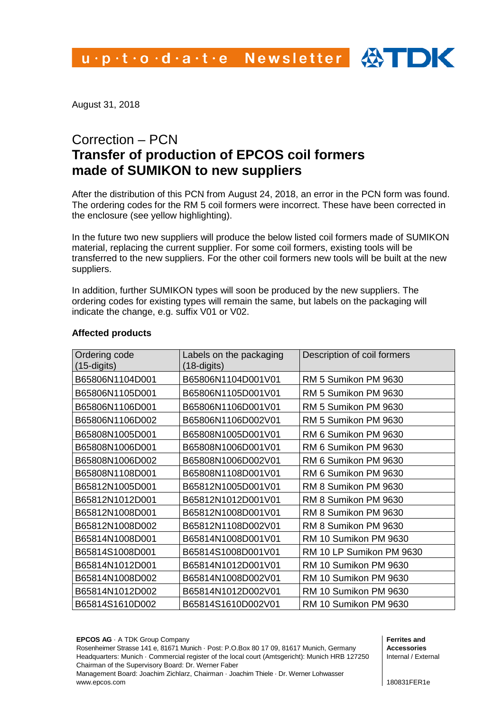August 31, 2018

# Correction – PCN **Transfer of production of EPCOS coil formers made of SUMIKON to new suppliers**

After the distribution of this PCN from August 24, 2018, an error in the PCN form was found. The ordering codes for the RM 5 coil formers were incorrect. These have been corrected in the enclosure (see yellow highlighting).

In the future two new suppliers will produce the below listed coil formers made of SUMIKON material, replacing the current supplier. For some coil formers, existing tools will be transferred to the new suppliers. For the other coil formers new tools will be built at the new suppliers.

In addition, further SUMIKON types will soon be produced by the new suppliers. The ordering codes for existing types will remain the same, but labels on the packaging will indicate the change, e.g. suffix V01 or V02.

| Ordering code<br>$(15-digits)$ | Labels on the packaging<br>$(18 -$ digits) | Description of coil formers |
|--------------------------------|--------------------------------------------|-----------------------------|
| B65806N1104D001                | B65806N1104D001V01                         | RM 5 Sumikon PM 9630        |
| B65806N1105D001                | B65806N1105D001V01                         | RM 5 Sumikon PM 9630        |
| B65806N1106D001                | B65806N1106D001V01                         | RM 5 Sumikon PM 9630        |
| B65806N1106D002                | B65806N1106D002V01                         | RM 5 Sumikon PM 9630        |
| B65808N1005D001                | B65808N1005D001V01                         | RM 6 Sumikon PM 9630        |
| B65808N1006D001                | B65808N1006D001V01                         | RM 6 Sumikon PM 9630        |
| B65808N1006D002                | B65808N1006D002V01                         | RM 6 Sumikon PM 9630        |
| B65808N1108D001                | B65808N1108D001V01                         | RM 6 Sumikon PM 9630        |
| B65812N1005D001                | B65812N1005D001V01                         | RM 8 Sumikon PM 9630        |
| B65812N1012D001                | B65812N1012D001V01                         | RM 8 Sumikon PM 9630        |
| B65812N1008D001                | B65812N1008D001V01                         | RM 8 Sumikon PM 9630        |
| B65812N1008D002                | B65812N1108D002V01                         | RM 8 Sumikon PM 9630        |
| B65814N1008D001                | B65814N1008D001V01                         | RM 10 Sumikon PM 9630       |
| B65814S1008D001                | B65814S1008D001V01                         | RM 10 LP Sumikon PM 9630    |
| B65814N1012D001                | B65814N1012D001V01                         | RM 10 Sumikon PM 9630       |
| B65814N1008D002                | B65814N1008D002V01                         | RM 10 Sumikon PM 9630       |
| B65814N1012D002                | B65814N1012D002V01                         | RM 10 Sumikon PM 9630       |
| B65814S1610D002                | B65814S1610D002V01                         | RM 10 Sumikon PM 9630       |

# **Affected products**

**EPCOS AG** · A TDK Group Company

Rosenheimer Strasse 141 e, 81671 Munich · Post: P.O.Box 80 17 09, 81617 Munich, Germany Headquarters: Munich · Commercial register of the local court (Amtsgericht): Munich HRB 127250 Chairman of the Supervisory Board: Dr. Werner Faber

Management Board: Joachim Zichlarz, Chairman · Joachim Thiele · Dr. Werner Lohwasser www.epcos.com

**Ferrites and Accessories** Internal / External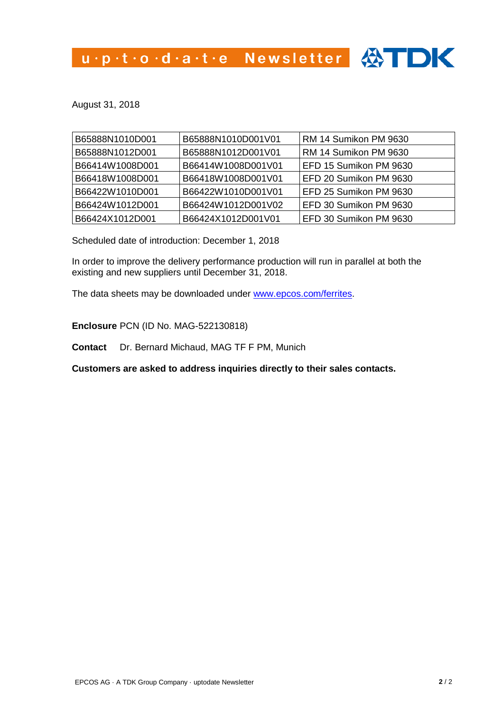u.p.t.o.d.a.t.e Newsletter 4

August 31, 2018

| B65888N1010D001 | B65888N1010D001V01 | RM 14 Sumikon PM 9630  |
|-----------------|--------------------|------------------------|
| B65888N1012D001 | B65888N1012D001V01 | RM 14 Sumikon PM 9630  |
| B66414W1008D001 | B66414W1008D001V01 | EFD 15 Sumikon PM 9630 |
| B66418W1008D001 | B66418W1008D001V01 | EFD 20 Sumikon PM 9630 |
| B66422W1010D001 | B66422W1010D001V01 | EFD 25 Sumikon PM 9630 |
| B66424W1012D001 | B66424W1012D001V02 | EFD 30 Sumikon PM 9630 |
| B66424X1012D001 | B66424X1012D001V01 | EFD 30 Sumikon PM 9630 |

Scheduled date of introduction: December 1, 2018

In order to improve the delivery performance production will run in parallel at both the existing and new suppliers until December 31, 2018.

The data sheets may be downloaded under [www.epcos.com/ferrites.](http://www.epcos.com/ferrites)

**Enclosure** PCN (ID No. MAG-522130818)

**Contact** Dr. Bernard Michaud, MAG TF F PM, Munich

**Customers are asked to address inquiries directly to their sales contacts.**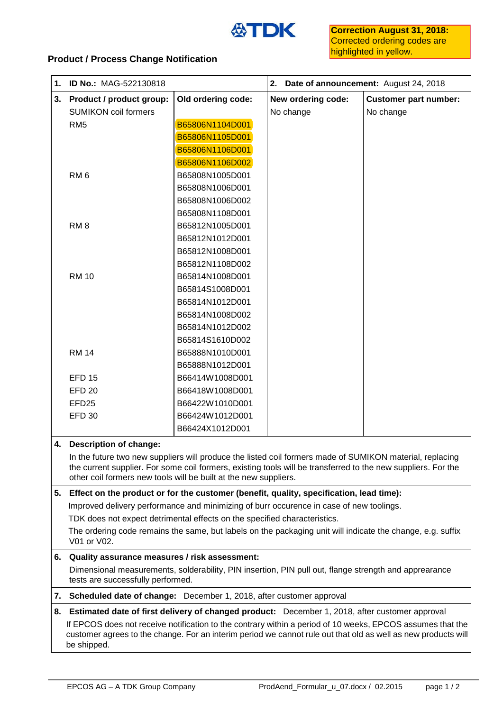

# **Product / Process Change Notification**

| 1. | ID No.: MAG-522130818                                                                                                                                                                                                     |                    | 2. Date of announcement: August 24, 2018 |                              |  |
|----|---------------------------------------------------------------------------------------------------------------------------------------------------------------------------------------------------------------------------|--------------------|------------------------------------------|------------------------------|--|
| 3. | Product / product group:                                                                                                                                                                                                  | Old ordering code: | New ordering code:                       | <b>Customer part number:</b> |  |
|    | <b>SUMIKON coil formers</b>                                                                                                                                                                                               |                    | No change                                | No change                    |  |
|    | RM <sub>5</sub>                                                                                                                                                                                                           | B65806N1104D001    |                                          |                              |  |
|    |                                                                                                                                                                                                                           | B65806N1105D001    |                                          |                              |  |
|    |                                                                                                                                                                                                                           | B65806N1106D001    |                                          |                              |  |
|    |                                                                                                                                                                                                                           | B65806N1106D002    |                                          |                              |  |
|    | RM <sub>6</sub>                                                                                                                                                                                                           | B65808N1005D001    |                                          |                              |  |
|    |                                                                                                                                                                                                                           | B65808N1006D001    |                                          |                              |  |
|    |                                                                                                                                                                                                                           | B65808N1006D002    |                                          |                              |  |
|    |                                                                                                                                                                                                                           | B65808N1108D001    |                                          |                              |  |
|    | RM <sub>8</sub>                                                                                                                                                                                                           | B65812N1005D001    |                                          |                              |  |
|    |                                                                                                                                                                                                                           | B65812N1012D001    |                                          |                              |  |
|    |                                                                                                                                                                                                                           | B65812N1008D001    |                                          |                              |  |
|    |                                                                                                                                                                                                                           | B65812N1108D002    |                                          |                              |  |
|    | <b>RM 10</b>                                                                                                                                                                                                              | B65814N1008D001    |                                          |                              |  |
|    |                                                                                                                                                                                                                           | B65814S1008D001    |                                          |                              |  |
|    |                                                                                                                                                                                                                           | B65814N1012D001    |                                          |                              |  |
|    |                                                                                                                                                                                                                           | B65814N1008D002    |                                          |                              |  |
|    |                                                                                                                                                                                                                           | B65814N1012D002    |                                          |                              |  |
|    |                                                                                                                                                                                                                           | B65814S1610D002    |                                          |                              |  |
|    | <b>RM 14</b>                                                                                                                                                                                                              | B65888N1010D001    |                                          |                              |  |
|    |                                                                                                                                                                                                                           | B65888N1012D001    |                                          |                              |  |
|    | <b>EFD 15</b>                                                                                                                                                                                                             | B66414W1008D001    |                                          |                              |  |
|    | <b>EFD 20</b>                                                                                                                                                                                                             | B66418W1008D001    |                                          |                              |  |
|    | EFD <sub>25</sub>                                                                                                                                                                                                         | B66422W1010D001    |                                          |                              |  |
|    | <b>EFD 30</b>                                                                                                                                                                                                             | B66424W1012D001    |                                          |                              |  |
|    |                                                                                                                                                                                                                           | B66424X1012D001    |                                          |                              |  |
| 4. | <b>Description of change:</b>                                                                                                                                                                                             |                    |                                          |                              |  |
|    | In the future two new suppliers will produce the listed coil formers made of SUMIKON material, replacing<br>the current supplier. For some coil formers, existing tools will be transferred to the new suppliers. For the |                    |                                          |                              |  |

other coil formers new tools will be built at the new suppliers.

#### **5. Effect on the product or for the customer (benefit, quality, specification, lead time):**

Improved delivery performance and minimizing of burr occurence in case of new toolings.

TDK does not expect detrimental effects on the specified characteristics.

The ordering code remains the same, but labels on the packaging unit will indicate the change, e.g. suffix V01 or V02.

# **6. Quality assurance measures / risk assessment:**

Dimensional measurements, solderability, PIN insertion, PIN pull out, flange strength and apprearance tests are successfully performed.

**7. Scheduled date of change:** December 1, 2018, after customer approval

# **8. Estimated date of first delivery of changed product:** December 1, 2018, after customer approval If EPCOS does not receive notification to the contrary within a period of 10 weeks, EPCOS assumes that the customer agrees to the change. For an interim period we cannot rule out that old as well as new products will be shipped.